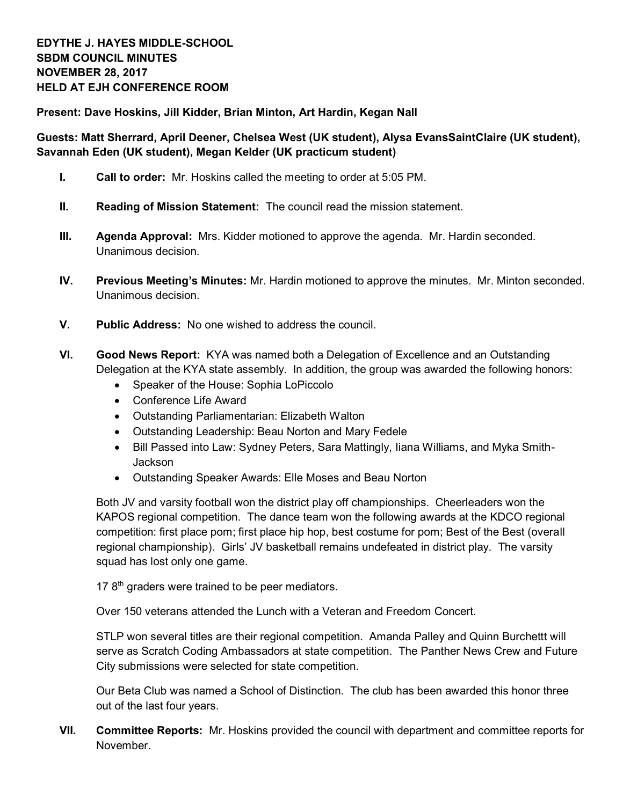**Present: Dave Hoskins, Jill Kidder, Brian Minton, Art Hardin, Kegan Nall**

## **Guests: Matt Sherrard, April Deener, Chelsea West (UK student), Alysa EvansSaintClaire (UK student), Savannah Eden (UK student), Megan Kelder (UK practicum student)**

- **I. Call to order:** Mr. Hoskins called the meeting to order at 5:05 PM.
- **II. Reading of Mission Statement:** The council read the mission statement.
- **III. Agenda Approval:** Mrs. Kidder motioned to approve the agenda. Mr. Hardin seconded. Unanimous decision.
- **IV. Previous Meeting's Minutes:** Mr. Hardin motioned to approve the minutes. Mr. Minton seconded. Unanimous decision.
- **V. Public Address:** No one wished to address the council.
- **VI. Good News Report:** KYA was named both a Delegation of Excellence and an Outstanding Delegation at the KYA state assembly. In addition, the group was awarded the following honors:
	- Speaker of the House: Sophia LoPiccolo
	- Conference Life Award
	- Outstanding Parliamentarian: Elizabeth Walton
	- Outstanding Leadership: Beau Norton and Mary Fedele
	- Bill Passed into Law: Sydney Peters, Sara Mattingly, Iiana Williams, and Myka Smith-Jackson
	- Outstanding Speaker Awards: Elle Moses and Beau Norton

Both JV and varsity football won the district play off championships. Cheerleaders won the KAPOS regional competition. The dance team won the following awards at the KDCO regional competition: first place pom; first place hip hop, best costume for pom; Best of the Best (overall regional championship). Girls' JV basketball remains undefeated in district play. The varsity squad has lost only one game.

17 8<sup>th</sup> graders were trained to be peer mediators.

Over 150 veterans attended the Lunch with a Veteran and Freedom Concert.

STLP won several titles are their regional competition. Amanda Palley and Quinn Burchettt will serve as Scratch Coding Ambassadors at state competition. The Panther News Crew and Future City submissions were selected for state competition.

Our Beta Club was named a School of Distinction. The club has been awarded this honor three out of the last four years.

**VII. Committee Reports:** Mr. Hoskins provided the council with department and committee reports for November.